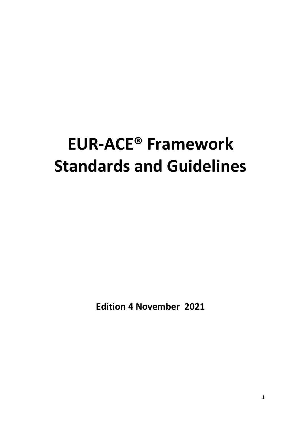# **EUR-ACE® Framework Standards and Guidelines**

**Edition 4 November 2021**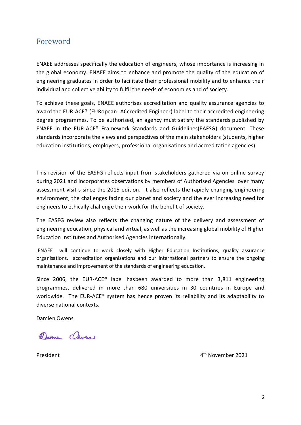## <span id="page-1-0"></span>Foreword

ENAEE addresses specifically the education of engineers, whose importance is increasing in the global economy. ENAEE aims to enhance and promote the quality of the education of engineering graduates in order to facilitate their professional mobility and to enhance their individual and collective ability to fulfil the needs of economies and of society.

To achieve these goals, ENAEE authorises accreditation and quality assurance agencies to award the EUR-ACE® (EURopean- ACcredited Engineer) label to their accredited engineering degree programmes. To be authorised, an agency must satisfy the standards published by ENAEE in the EUR-ACE® Framework Standards and Guidelines(EAFSG) document. These standards incorporate the views and perspectives of the main stakeholders (students, higher education institutions, employers, professional organisations and accreditation agencies).

This revision of the EASFG reflects input from stakeholders gathered via on online survey during 2021 and incorporates observations by members of Authorised Agencies over many assessment visit s since the 2015 edition. It also reflects the rapidly changing engineering environment, the challenges facing our planet and society and the ever increasing need for engineers to ethically challenge their work for the benefit of society.

The EASFG review also reflects the changing nature of the delivery and assessment of engineering education, physical and virtual, as well as the increasing global mobility of Higher Education Institutes and Authorised Agencies internationally.

ENAEE will continue to work closely with Higher Education Institutions, quality assurance organisations. accreditation organisations and our international partners to ensure the ongoing maintenance and improvement of the standards of engineering education.

Since 2006, the EUR-ACE® label hasbeen awarded to more than 3,811 engineering programmes, delivered in more than 680 universities in 30 countries in Europe and worldwide. The EUR-ACE® system has hence proven its reliability and its adaptability to diverse national contexts.

Damien Owens

Damie Oevers

**President** 

4<sup>th</sup> November 2021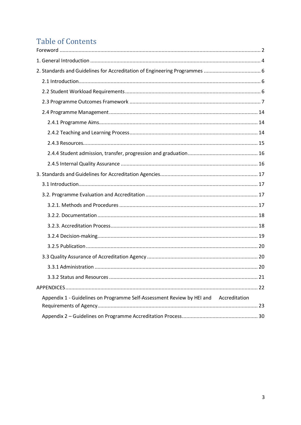# **Table of Contents**

| Appendix 1 - Guidelines on Programme Self-Assessment Review by HEI and Accreditation |  |
|--------------------------------------------------------------------------------------|--|
|                                                                                      |  |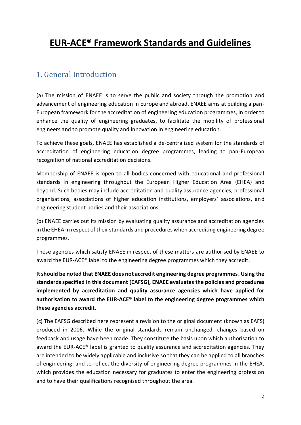# **EUR-ACE® Framework Standards and Guidelines**

## <span id="page-3-0"></span>1. General Introduction

(a) The mission of ENAEE is to serve the public and society through the promotion and advancement of engineering education in Europe and abroad. ENAEE aims at building a pan-European framework for the accreditation of engineering education programmes, in order to enhance the quality of engineering graduates, to facilitate the mobility of professional engineers and to promote quality and innovation in engineering education.

To achieve these goals, ENAEE has established a de-centralized system for the standards of accreditation of engineering education degree programmes, leading to pan-European recognition of national accreditation decisions.

Membership of ENAEE is open to all bodies concerned with educational and professional standards in engineering throughout the European Higher Education Area (EHEA) and beyond. Such bodies may include accreditation and quality assurance agencies, professional organisations, associations of higher education institutions, employers' associations, and engineering student bodies and their associations.

(b) ENAEE carries out its mission by evaluating quality assurance and accreditation agencies in the EHEA in respect of their standards and procedures when accrediting engineering degree programmes.

Those agencies which satisfy ENAEE in respect of these matters are authorised by ENAEE to award the EUR-ACE® label to the engineering degree programmes which they accredit.

**It should be noted that ENAEE does not accredit engineering degree programmes. Using the standards specified in this document (EAFSG), ENAEE evaluates the policies and procedures implemented by accreditation and quality assurance agencies which have applied for authorisation to award the EUR-ACE® label to the engineering degree programmes which these agencies accredit.**

(c) The EAFSG described here represent a revision to the original document (known as EAFS) produced in 2006. While the original standards remain unchanged, changes based on feedback and usage have been made. They constitute the basis upon which authorisation to award the EUR-ACE® label is granted to quality assurance and accreditation agencies. They are intended to be widely applicable and inclusive so that they can be applied to all branches of engineering; and to reflect the diversity of engineering degree programmes in the EHEA, which provides the education necessary for graduates to enter the engineering profession and to have their qualifications recognised throughout the area.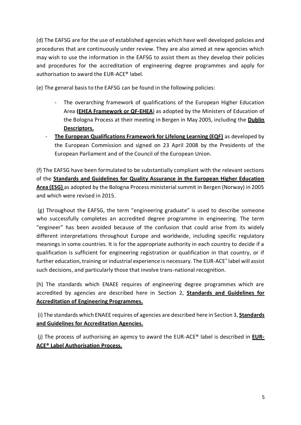(d) The EAFSG are for the use of established agencies which have well developed policies and procedures that are continuously under review. They are also aimed at new agencies which may wish to use the information in the EAFSG to assist them as they develop their policies and procedures for the accreditation of engineering degree programmes and apply for authorisation to award the EUR-ACE® label.

(e) The general basis to the EAFSG can be found in the following policies:

- The overarching framework of qualifications of the European Higher Education Area **[\(EHEA Framework or QF-EHEA](http://www.bologna-bergen2005.no/EN/BASIC/050520_Framework_qualifications.pdf)**) as adopted by the Ministers of Education of the Bologna Process at their meeting in Bergen in May 2005, including the **[Dublin](http://ecahe.eu/w/index.php/Dublin_Descriptors)  [Descriptors.](http://ecahe.eu/w/index.php/Dublin_Descriptors)**
- **[The European Qualifications Framework for Lifelong Learning \(EQF\)](http://ec.europa.eu/ploteus/search/site?f%5B0%5D=im_field_entity_type%3A97)** as developed by the European Commission and signed on 23 April 2008 by the Presidents of the European Parliament and of the Council of the European Union.

(f) The EAFSG have been formulated to be substantially compliant with the relevant sections of the **[Standards and Guidelines for Quality Assurance in the European Higher Education](http://www.enqa.eu/index.php/home/esg/)  [Area \(ESG\)](http://www.enqa.eu/index.php/home/esg/)** as adopted by the Bologna Process ministerial summit in Bergen (Norway) in 2005 and which were revised in 2015.

(g) Throughout the EAFSG, the term "engineering graduate" is used to describe someone who successfully completes an accredited degree programme in engineering. The term "engineer" has been avoided because of the confusion that could arise from its widely different interpretations throughout Europe and worldwide, including specific regulatory meanings in some countries. It is for the appropriate authority in each country to decide if a qualification is sufficient for engineering registration or qualification in that country, or if further education, training or industrial experience is necessary. The EUR-ACE® label will assist such decisions, and particularly those that involve trans-national recognition.

(h) The standards which ENAEE requires of engineering degree programmes which are accredited by agencies are described here in Section 2, **[Standards and Guidelines for](http://www.enaee.eu/eur-ace-system/eur-ace-framework-standards/standards-and-guidelines-for-accreditation-of-engineering-programmes)  [Accreditation of Engineering Programmes.](http://www.enaee.eu/eur-ace-system/eur-ace-framework-standards/standards-and-guidelines-for-accreditation-of-engineering-programmes)**

(i) The standards which ENAEE requires of agencies are described here in Section 3, **[Standards](http://www.enaee.eu/eur-ace-system/eur-ace-framework-standards/standards-and-guidelines-for-accreditation-agencies)  [and Guidelines for Accreditation Agencies.](http://www.enaee.eu/eur-ace-system/eur-ace-framework-standards/standards-and-guidelines-for-accreditation-agencies)**

(j) The process of authorising an agency to award the EUR-ACE® label is described in **[EUR-](http://www.enaee.eu/what-is-eur-ace-label/eur-ace-label-authorisation-process)ACE® [Label Authorisation Process.](http://www.enaee.eu/what-is-eur-ace-label/eur-ace-label-authorisation-process)**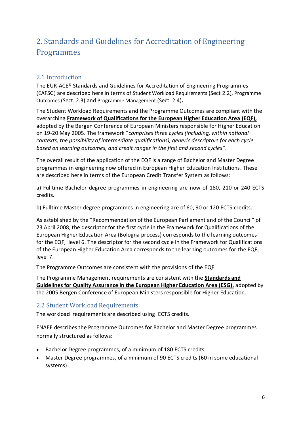# <span id="page-5-0"></span>2. Standards and Guidelines for Accreditation of Engineering Programmes

### <span id="page-5-1"></span>2.1 Introduction

The EUR-ACE® Standards and Guidelines for Accreditation of Engineering Programmes (EAFSG) are described here in terms of Student Workload Requirements (Sect 2.2), Programme Outcomes (Sect. 2.3) and Programme Management (Sect. 2.4)**.**

The Student Workload Requirements and the Programme Outcomes are compliant with the overarching **[Framework of Qualifications for the European Higher Education Area](http://ec.europa.eu/ploteus/search/site?f%5B0%5D=im_field_entity_type%3A97) (EQF),** adopted by the Bergen Conference of European Ministers responsible for Higher Education on 19-20 May 2005. The framework "*comprises three cycles (including, within national contexts, the possibility of intermediate qualifications), generic descriptors for each cycle based on learning outcomes, and credit ranges in the first and second cycles*".

The overall result of the application of the EQF is a range of Bachelor and Master Degree programmes in engineering now offered in European Higher Education Institutions. These are described here in terms of the European Credit Transfer System as follows:

a) Fulltime Bachelor degree programmes in engineering are now of 180, 210 or 240 ECTS credits.

b) Fulltime Master degree programmes in engineering are of 60, 90 or 120 ECTS credits.

As established by the "Recommendation of the European Parliament and of the Council" of 23 April 2008, the descriptor for the first cycle in the Framework for Qualifications of the European Higher Education Area (Bologna process) corresponds to the learning outcomes for the EQF, level 6. The descriptor for the second cycle in the Framework for Qualifications of the European Higher Education Area corresponds to the learning outcomes for the EQF, level 7.

The Programme Outcomes are consistent with the provisions of the EQF.

The Programme Management requirements are consistent with the **[Standards and](http://www.enqa.eu/index.php/home/esg/)  [Guidelines for Quality Assurance in the European Higher Education Area \(ESG\)](http://www.enqa.eu/index.php/home/esg/)**, adopted by the 2005 Bergen Conference of European Ministers responsible for Higher Education.

#### <span id="page-5-2"></span>2.2 Student Workload Requirements

The workload requirements are described using ECTS credits.

ENAEE describes the Programme Outcomes for Bachelor and Master Degree programmes normally structured as follows:

- Bachelor Degree programmes, of a minimum of 180 ECTS credits.
- Master Degree programmes, of a minimum of 90 ECTS credits (60 in some educational systems).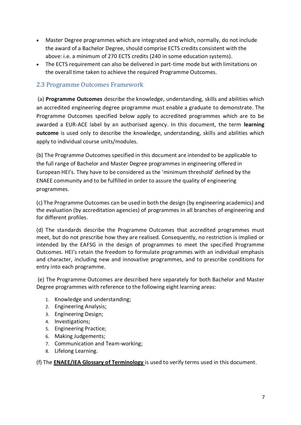- Master Degree programmes which are integrated and which, normally, do not include the award of a Bachelor Degree, should comprise ECTS credits consistent with the above: i.e. a minimum of 270 ECTS credits (240 in some education systems).
- The ECTS requirement can also be delivered in part-time mode but with limitations on the overall time taken to achieve the required Programme Outcomes.

#### <span id="page-6-0"></span>2.3 Programme Outcomes Framework

(a) **Programme Outcomes** describe the knowledge, understanding, skills and abilities which an accredited engineering degree programme must enable a graduate to demonstrate. The Programme Outcomes specified below apply to accredited programmes which are to be awarded a EUR-ACE label by an authorised agency. In this document, the term **learning outcome** is used only to describe the knowledge, understanding, skills and abilities which apply to individual course units/modules.

(b) The Programme Outcomes specified in this document are intended to be applicable to the full range of Bachelor and Master Degree programmes in engineering offered in European HEI's. They have to be considered as the 'minimum threshold' defined by the ENAEE community and to be fulfilled in order to assure the quality of engineering programmes.

(c) The Programme Outcomes can be used in both the design (by engineering academics) and the evaluation (by accreditation agencies) of programmes in all branches of engineering and for different profiles.

(d) The standards describe the Programme Outcomes that accredited programmes must meet, but do not prescribe how they are realised. Consequently, no restriction is implied or intended by the EAFSG in the design of programmes to meet the specified Programme Outcomes. HEI's retain the freedom to formulate programmes with an individual emphasis and character, including new and innovative programmes, and to prescribe conditions for entry into each programme.

(e) The Programme Outcomes are described here separately for both Bachelor and Master Degree programmes with reference to the following eight learning areas:

- 1. Knowledge and understanding;
- 2. Engineering Analysis;
- 3. Engineering Design;
- 4. Investigations;
- 5. Engineering Practice;
- 6. Making Judgements;
- 7. Communication and Team-working;
- 8. Lifelong Learning.

(f) The **[ENAEE/IEA Glossary of Terminology](http://www.enaee.eu/publications/enaeeiea-glossary-of-terminology)** is used to verify terms used in this document.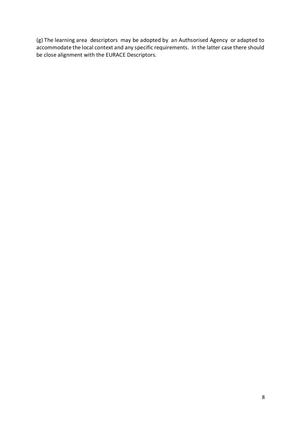(g) The learning area descriptors may be adopted by an Authsorised Agency or adapted to accommodate the local context and any specific requirements. In the latter case there should be close alignment with the EURACE Descriptors.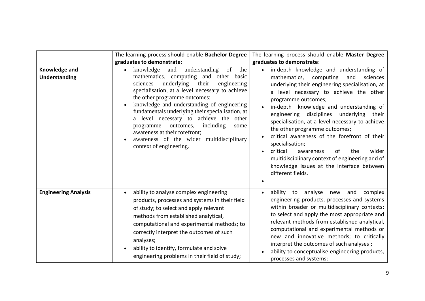|                                       | The learning process should enable Bachelor Degree<br>graduates to demonstrate:                                                                                                                                                                                                                                                                                                                                                                                                                                                   | The learning process should enable Master Degree<br>graduates to demonstrate:                                                                                                                                                                                                                                                                                                                                                                                                                                                                                                                                              |
|---------------------------------------|-----------------------------------------------------------------------------------------------------------------------------------------------------------------------------------------------------------------------------------------------------------------------------------------------------------------------------------------------------------------------------------------------------------------------------------------------------------------------------------------------------------------------------------|----------------------------------------------------------------------------------------------------------------------------------------------------------------------------------------------------------------------------------------------------------------------------------------------------------------------------------------------------------------------------------------------------------------------------------------------------------------------------------------------------------------------------------------------------------------------------------------------------------------------------|
| Knowledge and<br><b>Understanding</b> | of<br>knowledge<br>and<br>understanding<br>the<br>mathematics, computing and other basic<br>underlying<br>their<br>sciences<br>engineering<br>specialisation, at a level necessary to achieve<br>the other programme outcomes;<br>knowledge and understanding of engineering<br>fundamentals underlying their specialisation, at<br>a level necessary to achieve the other<br>including<br>outcomes,<br>programme<br>some<br>awareness at their forefront;<br>awareness of the wider multidisciplinary<br>context of engineering. | in-depth knowledge and understanding of<br>mathematics, computing<br>and<br>sciences<br>underlying their engineering specialisation, at<br>a level necessary to achieve the other<br>programme outcomes;<br>in-depth knowledge and understanding of<br>engineering disciplines underlying their<br>specialisation, at a level necessary to achieve<br>the other programme outcomes;<br>critical awareness of the forefront of their<br>specialisation;<br>critical<br>wider<br>awareness<br>the<br>of<br>multidisciplinary context of engineering and of<br>knowledge issues at the interface between<br>different fields. |
| <b>Engineering Analysis</b>           | ability to analyse complex engineering<br>products, processes and systems in their field<br>of study; to select and apply relevant<br>methods from established analytical,<br>computational and experimental methods; to<br>correctly interpret the outcomes of such<br>analyses;<br>ability to identify, formulate and solve<br>engineering problems in their field of study;                                                                                                                                                    | ability to analyse<br>new<br>and<br>complex<br>engineering products, processes and systems<br>within broader or multidisciplinary contexts;<br>to select and apply the most appropriate and<br>relevant methods from established analytical,<br>computational and experimental methods or<br>new and innovative methods; to critically<br>interpret the outcomes of such analyses;<br>ability to conceptualise engineering products,<br>processes and systems;                                                                                                                                                             |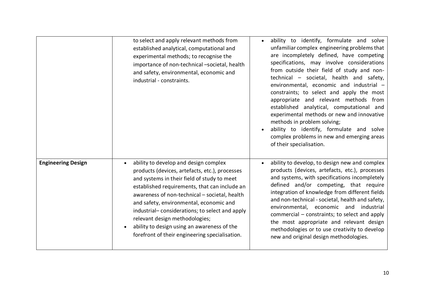|                           | to select and apply relevant methods from<br>established analytical, computational and<br>experimental methods; to recognise the<br>importance of non-technical -societal, health<br>and safety, environmental, economic and<br>industrial - constraints.                                                                                                                                                                                                                | ability to identify, formulate and solve<br>unfamiliar complex engineering problems that<br>are incompletely defined, have competing<br>specifications, may involve considerations<br>from outside their field of study and non-<br>technical - societal, health and safety,<br>environmental, economic and industrial -<br>constraints; to select and apply the most<br>appropriate and relevant methods from<br>established analytical, computational and<br>experimental methods or new and innovative<br>methods in problem solving;<br>ability to identify, formulate and solve<br>complex problems in new and emerging areas<br>of their specialisation. |
|---------------------------|--------------------------------------------------------------------------------------------------------------------------------------------------------------------------------------------------------------------------------------------------------------------------------------------------------------------------------------------------------------------------------------------------------------------------------------------------------------------------|----------------------------------------------------------------------------------------------------------------------------------------------------------------------------------------------------------------------------------------------------------------------------------------------------------------------------------------------------------------------------------------------------------------------------------------------------------------------------------------------------------------------------------------------------------------------------------------------------------------------------------------------------------------|
| <b>Engineering Design</b> | ability to develop and design complex<br>products (devices, artefacts, etc.), processes<br>and systems in their field of study to meet<br>established requirements, that can include an<br>awareness of non-technical - societal, health<br>and safety, environmental, economic and<br>industrial-considerations; to select and apply<br>relevant design methodologies;<br>ability to design using an awareness of the<br>forefront of their engineering specialisation. | ability to develop, to design new and complex<br>products (devices, artefacts, etc.), processes<br>and systems, with specifications incompletely<br>defined and/or competing, that require<br>integration of knowledge from different fields<br>and non-technical - societal, health and safety,<br>environmental, economic and industrial<br>commercial – constraints; to select and apply<br>the most appropriate and relevant design<br>methodologies or to use creativity to develop<br>new and original design methodologies.                                                                                                                             |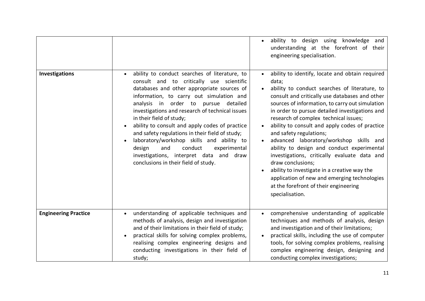|                             |                                                                                                                                                                                                                                                                                                                                                                                                                                                                                                                                                                                             | ability to design using knowledge and<br>understanding at the forefront of their<br>engineering specialisation.                                                                                                                                                                                                                                                                                                                                                                                                                                                                                                                                                                                                  |
|-----------------------------|---------------------------------------------------------------------------------------------------------------------------------------------------------------------------------------------------------------------------------------------------------------------------------------------------------------------------------------------------------------------------------------------------------------------------------------------------------------------------------------------------------------------------------------------------------------------------------------------|------------------------------------------------------------------------------------------------------------------------------------------------------------------------------------------------------------------------------------------------------------------------------------------------------------------------------------------------------------------------------------------------------------------------------------------------------------------------------------------------------------------------------------------------------------------------------------------------------------------------------------------------------------------------------------------------------------------|
| <b>Investigations</b>       | ability to conduct searches of literature, to<br>consult and to critically use scientific<br>databases and other appropriate sources of<br>information, to carry out simulation and<br>analysis in order to pursue detailed<br>investigations and research of technical issues<br>in their field of study;<br>ability to consult and apply codes of practice<br>and safety regulations in their field of study;<br>laboratory/workshop skills and ability to<br>and<br>conduct<br>design<br>experimental<br>investigations, interpret data and draw<br>conclusions in their field of study. | ability to identify, locate and obtain required<br>data;<br>ability to conduct searches of literature, to<br>consult and critically use databases and other<br>sources of information, to carry out simulation<br>in order to pursue detailed investigations and<br>research of complex technical issues;<br>ability to consult and apply codes of practice<br>and safety regulations;<br>advanced laboratory/workshop skills and<br>ability to design and conduct experimental<br>investigations, critically evaluate data and<br>draw conclusions;<br>ability to investigate in a creative way the<br>application of new and emerging technologies<br>at the forefront of their engineering<br>specialisation. |
| <b>Engineering Practice</b> | understanding of applicable techniques and<br>methods of analysis, design and investigation<br>and of their limitations in their field of study;<br>practical skills for solving complex problems,<br>realising complex engineering designs and<br>conducting investigations in their field of<br>study;                                                                                                                                                                                                                                                                                    | comprehensive understanding of applicable<br>techniques and methods of analysis, design<br>and investigation and of their limitations;<br>practical skills, including the use of computer<br>tools, for solving complex problems, realising<br>complex engineering design, designing and<br>conducting complex investigations;                                                                                                                                                                                                                                                                                                                                                                                   |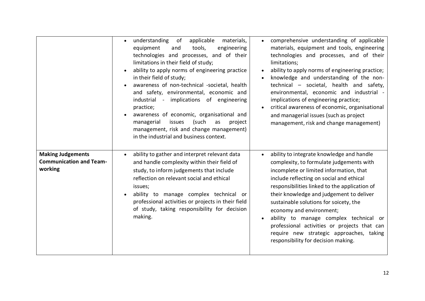|                                                                       | applicable<br>understanding<br>of<br>materials,<br>equipment<br>tools,<br>engineering<br>and<br>technologies and processes, and of their<br>limitations in their field of study;<br>ability to apply norms of engineering practice<br>in their field of study;<br>awareness of non-technical -societal, health<br>and safety, environmental, economic and<br>industrial - implications of engineering<br>practice;<br>awareness of economic, organisational and<br>(such<br>issues<br>managerial<br>as<br>project<br>management, risk and change management)<br>in the industrial and business context. | comprehensive understanding of applicable<br>materials, equipment and tools, engineering<br>technologies and processes, and of their<br>limitations;<br>ability to apply norms of engineering practice;<br>knowledge and understanding of the non-<br>technical - societal, health and safety,<br>environmental, economic and industrial -<br>implications of engineering practice;<br>critical awareness of economic, organisational<br>and managerial issues (such as project<br>management, risk and change management)   |
|-----------------------------------------------------------------------|---------------------------------------------------------------------------------------------------------------------------------------------------------------------------------------------------------------------------------------------------------------------------------------------------------------------------------------------------------------------------------------------------------------------------------------------------------------------------------------------------------------------------------------------------------------------------------------------------------|------------------------------------------------------------------------------------------------------------------------------------------------------------------------------------------------------------------------------------------------------------------------------------------------------------------------------------------------------------------------------------------------------------------------------------------------------------------------------------------------------------------------------|
| <b>Making Judgements</b><br><b>Communication and Team-</b><br>working | ability to gather and interpret relevant data<br>and handle complexity within their field of<br>study, to inform judgements that include<br>reflection on relevant social and ethical<br>issues;<br>ability to manage complex technical or<br>professional activities or projects in their field<br>of study, taking responsibility for decision<br>making.                                                                                                                                                                                                                                             | ability to integrate knowledge and handle<br>complexity, to formulate judgements with<br>incomplete or limited information, that<br>include reflecting on social and ethical<br>responsibilities linked to the application of<br>their knowledge and judgement to deliver<br>sustainable solutions for soicety, the<br>economy and environment;<br>ability to manage complex technical or<br>professional activities or projects that can<br>require new strategic approaches, taking<br>responsibility for decision making. |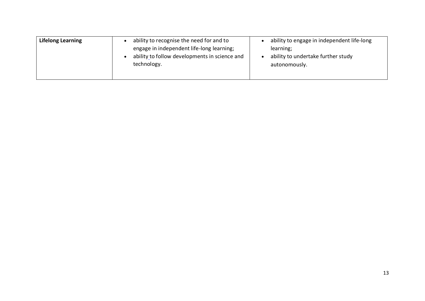| <b>Lifelong Learning</b> | ability to recognise the need for and to                                                                  | ability to engage in independent life-long                       |
|--------------------------|-----------------------------------------------------------------------------------------------------------|------------------------------------------------------------------|
|                          | engage in independent life-long learning;<br>ability to follow developments in science and<br>technology. | learning;<br>ability to undertake further study<br>autonomously. |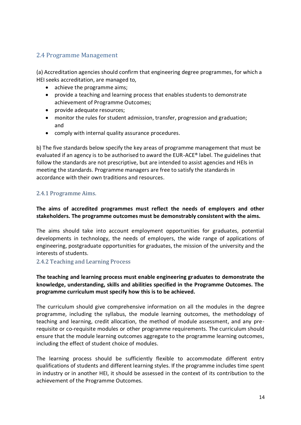#### <span id="page-13-0"></span>2.4 Programme Management

(a) Accreditation agencies should confirm that engineering degree programmes, for which a HEI seeks accreditation, are managed to,

- achieve the programme aims;
- provide a teaching and learning process that enables students to demonstrate achievement of Programme Outcomes;
- provide adequate resources;
- monitor the rules for student admission, transfer, progression and graduation; and
- comply with internal quality assurance procedures.

b) The five standards below specify the key areas of programme management that must be evaluated if an agency is to be authorised to award the EUR-ACE® label. The guidelines that follow the standards are not prescriptive, but are intended to assist agencies and HEIs in meeting the standards. Programme managers are free to satisfy the standards in accordance with their own traditions and resources.

#### <span id="page-13-1"></span>2.4.1 Programme Aims.

#### **The aims of accredited programmes must reflect the needs of employers and other stakeholders. The programme outcomes must be demonstrably consistent with the aims.**

The aims should take into account employment opportunities for graduates, potential developments in technology, the needs of employers, the wide range of applications of engineering, postgraduate opportunities for graduates, the mission of the university and the interests of students.

#### <span id="page-13-2"></span>2.4.2 Teaching and Learning Process

#### **The teaching and learning process must enable engineering graduates to demonstrate the knowledge, understanding, skills and abilities specified in the Programme Outcomes. The programme curriculum must specify how this is to be achieved.**

The curriculum should give comprehensive information on all the modules in the degree programme, including the syllabus, the module learning outcomes, the methodology of teaching and learning, credit allocation, the method of module assessment, and any prerequisite or co-requisite modules or other programme requirements. The curriculum should ensure that the module learning outcomes aggregate to the programme learning outcomes, including the effect of student choice of modules.

The learning process should be sufficiently flexible to accommodate different entry qualifications of students and different learning styles. If the programme includes time spent in industry or in another HEI, it should be assessed in the context of its contribution to the achievement of the Programme Outcomes.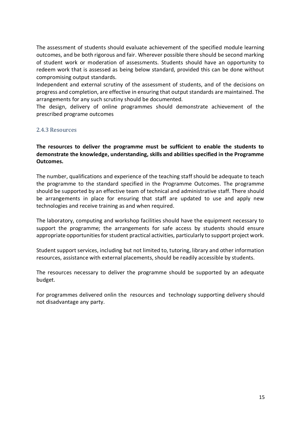The assessment of students should evaluate achievement of the specified module learning outcomes, and be both rigorous and fair. Wherever possible there should be second marking of student work or moderation of assessments. Students should have an opportunity to redeem work that is assessed as being below standard, provided this can be done without compromising output standards.

Independent and external scrutiny of the assessment of students, and of the decisions on progress and completion, are effective in ensuring that output standards are maintained. The arrangements for any such scrutiny should be documented.

The design, delivery of online programmes should demonstrate achievement of the prescribed programe outcomes

#### <span id="page-14-0"></span>2.4.3 Resources

**The resources to deliver the programme must be sufficient to enable the students to demonstrate the knowledge, understanding, skills and abilities specified in the Programme Outcomes.**

The number, qualifications and experience of the teaching staff should be adequate to teach the programme to the standard specified in the Programme Outcomes. The programme should be supported by an effective team of technical and administrative staff. There should be arrangements in place for ensuring that staff are updated to use and apply new technologies and receive training as and when required.

The laboratory, computing and workshop facilities should have the equipment necessary to support the programme; the arrangements for safe access by students should ensure appropriate opportunities for student practical activities, particularly to support project work.

Student support services, including but not limited to, tutoring, library and other information resources, assistance with external placements, should be readily accessible by students.

The resources necessary to deliver the programme should be supported by an adequate budget.

For programmes delivered onlin the resources and technology supporting delivery should not disadvantage any party.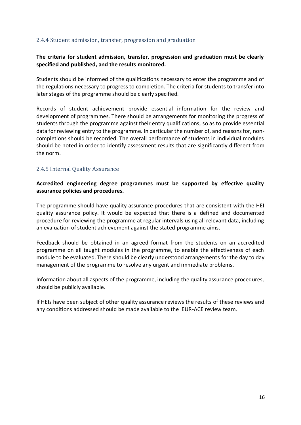#### <span id="page-15-0"></span>2.4.4 Student admission, transfer, progression and graduation

#### **The criteria for student admission, transfer, progression and graduation must be clearly specified and published, and the results monitored.**

Students should be informed of the qualifications necessary to enter the programme and of the regulations necessary to progress to completion. The criteria for students to transfer into later stages of the programme should be clearly specified.

Records of student achievement provide essential information for the review and development of programmes. There should be arrangements for monitoring the progress of students through the programme against their entry qualifications, so as to provide essential data for reviewing entry to the programme. In particular the number of, and reasons for, noncompletions should be recorded. The overall performance of students in individual modules should be noted in order to identify assessment results that are significantly different from the norm.

#### <span id="page-15-1"></span>2.4.5 Internal Quality Assurance

#### **Accredited engineering degree programmes must be supported by effective quality assurance policies and procedures.**

The programme should have quality assurance procedures that are consistent with the HEI quality assurance policy. It would be expected that there is a defined and documented procedure for reviewing the programme at regular intervals using all relevant data, including an evaluation of student achievement against the stated programme aims.

Feedback should be obtained in an agreed format from the students on an accredited programme on all taught modules in the programme, to enable the effectiveness of each module to be evaluated. There should be clearly understood arrangements for the day to day management of the programme to resolve any urgent and immediate problems.

Information about all aspects of the programme, including the quality assurance procedures, should be publicly available.

If HEIs have been subject of other quality assurance reviews the results of these reviews and any conditions addressed should be made available to the EUR-ACE review team.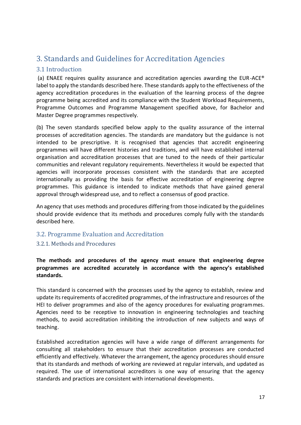# <span id="page-16-0"></span>3. Standards and Guidelines for Accreditation Agencies

#### <span id="page-16-1"></span>3.1 Introduction

(a) ENAEE requires quality assurance and accreditation agencies awarding the EUR-ACE® label to apply the standards described here. These standards apply to the effectiveness of the agency accreditation procedures in the evaluation of the learning process of the degree programme being accredited and its compliance with the Student Workload Requirements, Programme Outcomes and Programme Management specified above, for Bachelor and Master Degree programmes respectively.

(b) The seven standards specified below apply to the quality assurance of the internal processes of accreditation agencies. The standards are mandatory but the guidance is not intended to be prescriptive. It is recognised that agencies that accredit engineering programmes will have different histories and traditions, and will have established internal organisation and accreditation processes that are tuned to the needs of their particular communities and relevant regulatory requirements. Nevertheless it would be expected that agencies will incorporate processes consistent with the standards that are accepted internationally as providing the basis for effective accreditation of engineering degree programmes. This guidance is intended to indicate methods that have gained general approval through widespread use, and to reflect a consensus of good practice.

An agency that uses methods and procedures differing from those indicated by the guidelines should provide evidence that its methods and procedures comply fully with the standards described here.

#### <span id="page-16-2"></span>3.2. Programme Evaluation and Accreditation

#### <span id="page-16-3"></span>3.2.1. Methods and Procedures

**The methods and procedures of the agency must ensure that engineering degree programmes are accredited accurately in accordance with the agency's established standards.**

This standard is concerned with the processes used by the agency to establish, review and update its requirements of accredited programmes, of the infrastructure and resources of the HEI to deliver programmes and also of the agency procedures for evaluating programmes. Agencies need to be receptive to innovation in engineering technologies and teaching methods, to avoid accreditation inhibiting the introduction of new subjects and ways of teaching.

Established accreditation agencies will have a wide range of different arrangements for consulting all stakeholders to ensure that their accreditation processes are conducted efficiently and effectively. Whatever the arrangement, the agency procedures should ensure that its standards and methods of working are reviewed at regular intervals, and updated as required. The use of international accreditors is one way of ensuring that the agency standards and practices are consistent with international developments.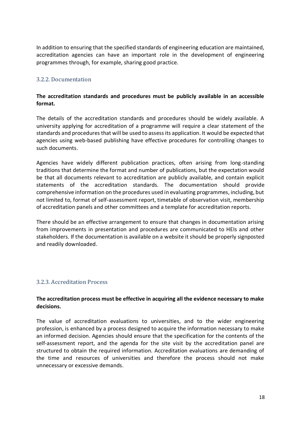In addition to ensuring that the specified standards of engineering education are maintained, accreditation agencies can have an important role in the development of engineering programmes through, for example, sharing good practice.

#### <span id="page-17-0"></span>3.2.2. Documentation

#### **The accreditation standards and procedures must be publicly available in an accessible format.**

The details of the accreditation standards and procedures should be widely available. A university applying for accreditation of a programme will require a clear statement of the standards and procedures that will be used to assess its application. It would be expected that agencies using web-based publishing have effective procedures for controlling changes to such documents.

Agencies have widely different publication practices, often arising from long-standing traditions that determine the format and number of publications, but the expectation would be that all documents relevant to accreditation are publicly available, and contain explicit statements of the accreditation standards. The documentation should provide comprehensive information on the procedures used in evaluating programmes, including, but not limited to, format of self-assessment report, timetable of observation visit, membership of accreditation panels and other committees and a template for accreditation reports.

There should be an effective arrangement to ensure that changes in documentation arising from improvements in presentation and procedures are communicated to HEIs and other stakeholders. If the documentation is available on a website it should be properly signposted and readily downloaded.

#### <span id="page-17-1"></span>3.2.3. Accreditation Process

#### **The accreditation process must be effective in acquiring all the evidence necessary to make decisions.**

The value of accreditation evaluations to universities, and to the wider engineering profession, is enhanced by a process designed to acquire the information necessary to make an informed decision. Agencies should ensure that the specification for the contents of the self-assessment report, and the agenda for the site visit by the accreditation panel are structured to obtain the required information. Accreditation evaluations are demanding of the time and resources of universities and therefore the process should not make unnecessary or excessive demands.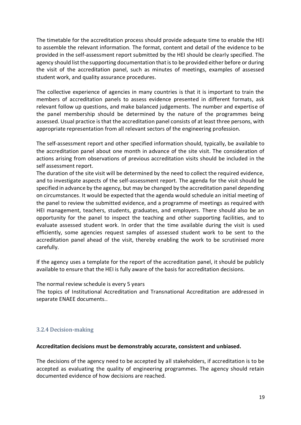The timetable for the accreditation process should provide adequate time to enable the HEI to assemble the relevant information. The format, content and detail of the evidence to be provided in the self-assessment report submitted by the HEI should be clearly specified. The agency should list the supporting documentation that is to be provided either before or during the visit of the accreditation panel, such as minutes of meetings, examples of assessed student work, and quality assurance procedures.

The collective experience of agencies in many countries is that it is important to train the members of accreditation panels to assess evidence presented in different formats, ask relevant follow up questions, and make balanced judgements. The number and expertise of the panel membership should be determined by the nature of the programmes being assessed. Usual practice is that the accreditation panel consists of at least three persons, with appropriate representation from all relevant sectors of the engineering profession.

The self-assessment report and other specified information should, typically, be available to the accreditation panel about one month in advance of the site visit. The consideration of actions arising from observations of previous accreditation visits should be included in the self assessment report.

The duration of the site visit will be determined by the need to collect the required evidence, and to investigate aspects of the self-assessment report. The agenda for the visit should be specified in advance by the agency, but may be changed by the accreditation panel depending on circumstances. It would be expected that the agenda would schedule an initial meeting of the panel to review the submitted evidence, and a programme of meetings as required with HEI management, teachers, students, graduates, and employers. There should also be an opportunity for the panel to inspect the teaching and other supporting facilities, and to evaluate assessed student work. In order that the time available during the visit is used efficiently, some agencies request samples of assessed student work to be sent to the accreditation panel ahead of the visit, thereby enabling the work to be scrutinised more carefully.

If the agency uses a template for the report of the accreditation panel, it should be publicly available to ensure that the HEI is fully aware of the basis for accreditation decisions.

The normal review schedule is every 5 years

The topics of Institutional Accreditation and Transnational Accreditation are addressed in separate ENAEE documents..

#### <span id="page-18-0"></span>3.2.4 Decision-making

#### **Accreditation decisions must be demonstrably accurate, consistent and unbiased.**

The decisions of the agency need to be accepted by all stakeholders, if accreditation is to be accepted as evaluating the quality of engineering programmes. The agency should retain documented evidence of how decisions are reached.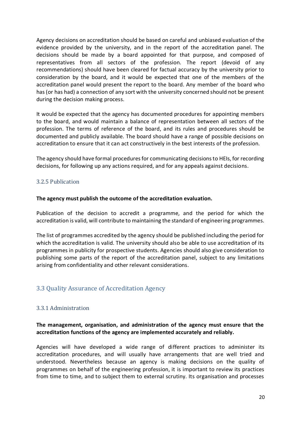Agency decisions on accreditation should be based on careful and unbiased evaluation of the evidence provided by the university, and in the report of the accreditation panel. The decisions should be made by a board appointed for that purpose, and composed of representatives from all sectors of the profession. The report (devoid of any recommendations) should have been cleared for factual accuracy by the university prior to consideration by the board, and it would be expected that one of the members of the accreditation panel would present the report to the board. Any member of the board who has (or has had) a connection of any sort with the university concerned should not be present during the decision making process.

It would be expected that the agency has documented procedures for appointing members to the board, and would maintain a balance of representation between all sectors of the profession. The terms of reference of the board, and its rules and procedures should be documented and publicly available. The board should have a range of possible decisions on accreditation to ensure that it can act constructively in the best interests of the profession.

The agency should have formal procedures for communicating decisions to HEIs, for recording decisions, for following up any actions required, and for any appeals against decisions.

#### <span id="page-19-0"></span>3.2.5 Publication

#### **The agency must publish the outcome of the accreditation evaluation.**

Publication of the decision to accredit a programme, and the period for which the accreditation is valid, will contribute to maintaining the standard of engineering programmes.

The list of programmes accredited by the agency should be published including the period for which the accreditation is valid. The university should also be able to use accreditation of its programmes in publicity for prospective students. Agencies should also give consideration to publishing some parts of the report of the accreditation panel, subject to any limitations arising from confidentiality and other relevant considerations.

#### <span id="page-19-1"></span>3.3 Quality Assurance of Accreditation Agency

#### <span id="page-19-2"></span>3.3.1 Administration

#### **The management, organisation, and administration of the agency must ensure that the accreditation functions of the agency are implemented accurately and reliably.**

Agencies will have developed a wide range of different practices to administer its accreditation procedures, and will usually have arrangements that are well tried and understood. Nevertheless because an agency is making decisions on the quality of programmes on behalf of the engineering profession, it is important to review its practices from time to time, and to subject them to external scrutiny. Its organisation and processes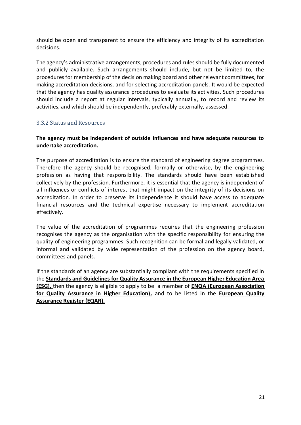should be open and transparent to ensure the efficiency and integrity of its accreditation decisions.

The agency's administrative arrangements, procedures and rules should be fully documented and publicly available. Such arrangements should include, but not be limited to, the procedures for membership of the decision making board and other relevant committees, for making accreditation decisions, and for selecting accreditation panels. It would be expected that the agency has quality assurance procedures to evaluate its activities. Such procedures should include a report at regular intervals, typically annually, to record and review its activities, and which should be independently, preferably externally, assessed.

#### <span id="page-20-0"></span>3.3.2 Status and Resources

#### **The agency must be independent of outside influences and have adequate resources to undertake accreditation.**

The purpose of accreditation is to ensure the standard of engineering degree programmes. Therefore the agency should be recognised, formally or otherwise, by the engineering profession as having that responsibility. The standards should have been established collectively by the profession. Furthermore, it is essential that the agency is independent of all influences or conflicts of interest that might impact on the integrity of its decisions on accreditation. In order to preserve its independence it should have access to adequate financial resources and the technical expertise necessary to implement accreditation effectively.

The value of the accreditation of programmes requires that the engineering profession recognises the agency as the organisation with the specific responsibility for ensuring the quality of engineering programmes. Such recognition can be formal and legally validated, or informal and validated by wide representation of the profession on the agency board, committees and panels.

If the standards of an agency are substantially compliant with the requirements specified in the **[Standards and Guidelines for Quality Assurance in the European Higher Education Area](http://www.enqa.eu/index.php/home/esg/)  [\(ESG\),](http://www.enqa.eu/index.php/home/esg/)** then the agency is eligible to apply to be a member of **[ENQA \(European Association](http://www.enqa.eu/)  [for Quality Assurance in Higher Education\),](http://www.enqa.eu/)** and to be listed in the **[European Quality](https://www.eqar.eu/)  [Assurance Register](https://www.eqar.eu/) (EQAR).**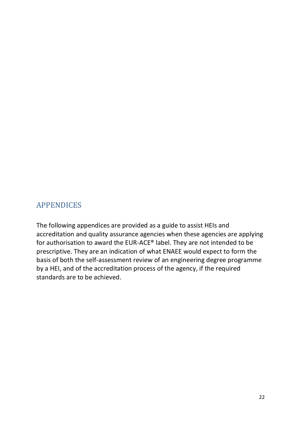## <span id="page-21-0"></span>APPENDICES

The following appendices are provided as a guide to assist HEIs and accreditation and quality assurance agencies when these agencies are applying for authorisation to award the EUR-ACE® label. They are not intended to be prescriptive. They are an indication of what ENAEE would expect to form the basis of both the self-assessment review of an engineering degree programme by a HEI, and of the accreditation process of the agency, if the required standards are to be achieved.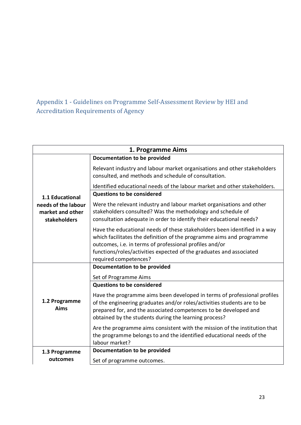# <span id="page-22-0"></span>Appendix 1 - Guidelines on Programme Self-Assessment Review by HEI and Accreditation Requirements of Agency

| 1. Programme Aims                                       |                                                                                                                                                                                                                                                                                                              |  |
|---------------------------------------------------------|--------------------------------------------------------------------------------------------------------------------------------------------------------------------------------------------------------------------------------------------------------------------------------------------------------------|--|
|                                                         | Documentation to be provided                                                                                                                                                                                                                                                                                 |  |
|                                                         | Relevant industry and labour market organisations and other stakeholders<br>consulted, and methods and schedule of consultation.                                                                                                                                                                             |  |
|                                                         | Identified educational needs of the labour market and other stakeholders.                                                                                                                                                                                                                                    |  |
| 1.1 Educational                                         | <b>Questions to be considered</b>                                                                                                                                                                                                                                                                            |  |
| needs of the labour<br>market and other<br>stakeholders | Were the relevant industry and labour market organisations and other<br>stakeholders consulted? Was the methodology and schedule of<br>consultation adequate in order to identify their educational needs?                                                                                                   |  |
|                                                         | Have the educational needs of these stakeholders been identified in a way<br>which facilitates the definition of the programme aims and programme<br>outcomes, i.e. in terms of professional profiles and/or<br>functions/roles/activities expected of the graduates and associated<br>required competences? |  |
|                                                         | Documentation to be provided                                                                                                                                                                                                                                                                                 |  |
|                                                         | Set of Programme Aims                                                                                                                                                                                                                                                                                        |  |
|                                                         | <b>Questions to be considered</b>                                                                                                                                                                                                                                                                            |  |
| 1.2 Programme<br>Aims                                   | Have the programme aims been developed in terms of professional profiles<br>of the engineering graduates and/or roles/activities students are to be<br>prepared for, and the associated competences to be developed and<br>obtained by the students during the learning process?                             |  |
|                                                         | Are the programme aims consistent with the mission of the institution that<br>the programme belongs to and the identified educational needs of the<br>labour market?                                                                                                                                         |  |
| 1.3 Programme                                           | Documentation to be provided                                                                                                                                                                                                                                                                                 |  |
| outcomes                                                | Set of programme outcomes.                                                                                                                                                                                                                                                                                   |  |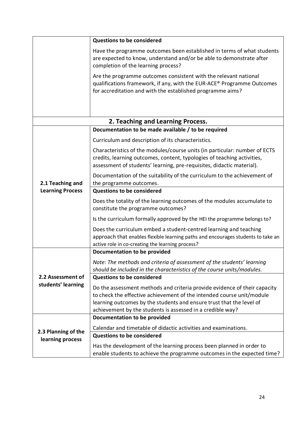|                         | <b>Questions to be considered</b>                                                                                                                                                                                                                                                        |
|-------------------------|------------------------------------------------------------------------------------------------------------------------------------------------------------------------------------------------------------------------------------------------------------------------------------------|
|                         | Have the programme outcomes been established in terms of what students<br>are expected to know, understand and/or be able to demonstrate after<br>completion of the learning process?                                                                                                    |
|                         | Are the programme outcomes consistent with the relevant national<br>qualifications framework, if any, with the EUR-ACE® Programme Outcomes<br>for accreditation and with the established programme aims?                                                                                 |
|                         |                                                                                                                                                                                                                                                                                          |
|                         | 2. Teaching and Learning Process.                                                                                                                                                                                                                                                        |
|                         | Documentation to be made available / to be required                                                                                                                                                                                                                                      |
|                         | Curriculum and description of its characteristics.                                                                                                                                                                                                                                       |
|                         | Characteristics of the modules/course units (in particular: number of ECTS<br>credits, learning outcomes, content, typologies of teaching activities,<br>assessment of students' learning, pre-requisites, didactic material).                                                           |
|                         | Documentation of the suitability of the curriculum to the achievement of                                                                                                                                                                                                                 |
| 2.1 Teaching and        | the programme outcomes.                                                                                                                                                                                                                                                                  |
| <b>Learning Process</b> | <b>Questions to be considered</b>                                                                                                                                                                                                                                                        |
|                         | Does the totality of the learning outcomes of the modules accumulate to<br>constitute the programme outcomes?                                                                                                                                                                            |
|                         | Is the curriculum formally approved by the HEI the programme belongs to?                                                                                                                                                                                                                 |
|                         | Does the curriculum embed a student-centred learning and teaching<br>approach that enables flexible learning paths and encourages students to take an<br>active role in co-creating the learning process?                                                                                |
|                         | Documentation to be provided                                                                                                                                                                                                                                                             |
|                         | Note: The methods and criteria of assessment of the students' learning<br>should be included in the characteristics of the course units/modules.                                                                                                                                         |
| 2.2 Assessment of       | <b>Questions to be considered</b>                                                                                                                                                                                                                                                        |
| students' learning      | Do the assessment methods and criteria provide evidence of their capacity<br>to check the effective achievement of the intended course unit/module<br>learning outcomes by the students and ensure trust that the level of<br>achievement by the students is assessed in a credible way? |
|                         | Documentation to be provided                                                                                                                                                                                                                                                             |
| 2.3 Planning of the     | Calendar and timetable of didactic activities and examinations.                                                                                                                                                                                                                          |
| learning process        | <b>Questions to be considered</b>                                                                                                                                                                                                                                                        |
|                         | Has the development of the learning process been planned in order to<br>enable students to achieve the programme outcomes in the expected time?                                                                                                                                          |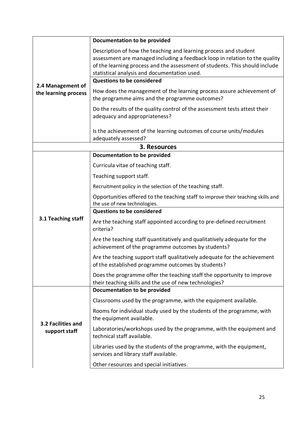|                                     | Documentation to be provided                                                                                                                                                                                                                                                   |
|-------------------------------------|--------------------------------------------------------------------------------------------------------------------------------------------------------------------------------------------------------------------------------------------------------------------------------|
|                                     | Description of how the teaching and learning process and student<br>assessment are managed including a feedback loop in relation to the quality<br>of the learning process and the assessment of students. This should include<br>statistical analysis and documentation used. |
| 2.4 Management of                   | <b>Questions to be considered</b>                                                                                                                                                                                                                                              |
| the learning process                | How does the management of the learning process assure achievement of<br>the programme aims and the programme outcomes?                                                                                                                                                        |
|                                     | Do the results of the quality control of the assessment tests attest their<br>adequacy and appropriateness?                                                                                                                                                                    |
|                                     | Is the achievement of the learning outcomes of course units/modules<br>adequately assessed?                                                                                                                                                                                    |
|                                     | 3. Resources                                                                                                                                                                                                                                                                   |
|                                     | <b>Documentation to be provided</b>                                                                                                                                                                                                                                            |
|                                     | Curricula vitae of teaching staff.                                                                                                                                                                                                                                             |
|                                     | Teaching support staff.                                                                                                                                                                                                                                                        |
|                                     | Recruitment policy in the selection of the teaching staff.                                                                                                                                                                                                                     |
|                                     | Opportunities offered to the teaching staff to improve their teaching skills and<br>the use of new technologies.                                                                                                                                                               |
|                                     | <b>Questions to be considered</b>                                                                                                                                                                                                                                              |
| 3.1 Teaching staff                  | Are the teaching staff appointed according to pre-defined recruitment<br>criteria?                                                                                                                                                                                             |
|                                     | Are the teaching staff quantitatively and qualitatively adequate for the<br>achievement of the programme outcomes by students?                                                                                                                                                 |
|                                     | Are the teaching support staff qualitatively adequate for the achievement<br>of the established programme outcomes by students?                                                                                                                                                |
|                                     | Does the programme offer the teaching staff the opportunity to improve<br>their teaching skills and the use of new technologies?                                                                                                                                               |
|                                     | Documentation to be provided                                                                                                                                                                                                                                                   |
|                                     | Classrooms used by the programme, with the equipment available.                                                                                                                                                                                                                |
| 3.2 Facilities and<br>support staff | Rooms for individual study used by the students of the programme, with<br>the equipment available.                                                                                                                                                                             |
|                                     | Laboratories/workshops used by the programme, with the equipment and<br>technical staff available.                                                                                                                                                                             |
|                                     | Libraries used by the students of the programme, with the equipment,<br>services and library staff available.                                                                                                                                                                  |
|                                     | Other resources and special initiatives.                                                                                                                                                                                                                                       |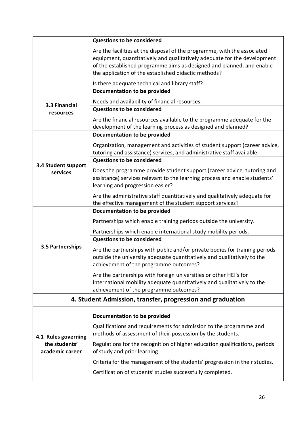|                                                            | <b>Questions to be considered</b>                                                                                                                                                                                                                                                     |  |
|------------------------------------------------------------|---------------------------------------------------------------------------------------------------------------------------------------------------------------------------------------------------------------------------------------------------------------------------------------|--|
|                                                            | Are the facilities at the disposal of the programme, with the associated<br>equipment, quantitatively and qualitatively adequate for the development<br>of the established programme aims as designed and planned, and enable<br>the application of the established didactic methods? |  |
|                                                            | Is there adequate technical and library staff?<br>Documentation to be provided                                                                                                                                                                                                        |  |
| 3.3 Financial                                              | Needs and availability of financial resources.                                                                                                                                                                                                                                        |  |
| resources                                                  | <b>Questions to be considered</b>                                                                                                                                                                                                                                                     |  |
|                                                            | Are the financial resources available to the programme adequate for the<br>development of the learning process as designed and planned?<br><b>Documentation to be provided</b>                                                                                                        |  |
|                                                            |                                                                                                                                                                                                                                                                                       |  |
|                                                            | Organization, management and activities of student support (career advice,<br>tutoring and assistance) services, and administrative staff available.                                                                                                                                  |  |
| 3.4 Student support                                        | <b>Questions to be considered</b>                                                                                                                                                                                                                                                     |  |
| services                                                   | Does the programme provide student support (career advice, tutoring and<br>assistance) services relevant to the learning process and enable students'<br>learning and progression easier?                                                                                             |  |
|                                                            | Are the administrative staff quantitatively and qualitatively adequate for<br>the effective management of the student support services?<br>Documentation to be provided                                                                                                               |  |
|                                                            | Partnerships which enable training periods outside the university.                                                                                                                                                                                                                    |  |
|                                                            | Partnerships which enable international study mobility periods.<br><b>Questions to be considered</b>                                                                                                                                                                                  |  |
| <b>3.5 Partnerships</b>                                    | Are the partnerships with public and/or private bodies for training periods<br>outside the university adequate quantitatively and qualitatively to the<br>achievement of the programme outcomes?                                                                                      |  |
|                                                            | Are the partnerships with foreign universities or other HEI's for<br>international mobility adequate quantitatively and qualitatively to the<br>achievement of the programme outcomes?                                                                                                |  |
| 4. Student Admission, transfer, progression and graduation |                                                                                                                                                                                                                                                                                       |  |
|                                                            | Documentation to be provided                                                                                                                                                                                                                                                          |  |
| 4.1 Rules governing                                        | Qualifications and requirements for admission to the programme and<br>methods of assessment of their possession by the students.                                                                                                                                                      |  |
| the students'<br>academic career                           | Regulations for the recognition of higher education qualifications, periods<br>of study and prior learning.                                                                                                                                                                           |  |
|                                                            | Criteria for the management of the students' progression in their studies.                                                                                                                                                                                                            |  |
|                                                            | Certification of students' studies successfully completed.                                                                                                                                                                                                                            |  |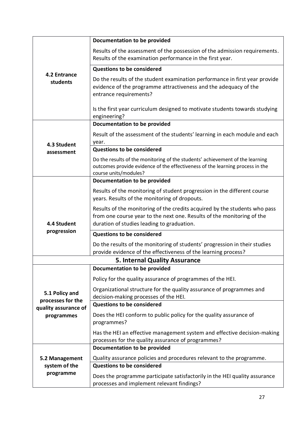|                                      | Documentation to be provided                                                                                                                                                                       |  |
|--------------------------------------|----------------------------------------------------------------------------------------------------------------------------------------------------------------------------------------------------|--|
| 4.2 Entrance<br>students             | Results of the assessment of the possession of the admission requirements.<br>Results of the examination performance in the first year.                                                            |  |
|                                      | <b>Questions to be considered</b>                                                                                                                                                                  |  |
|                                      | Do the results of the student examination performance in first year provide<br>evidence of the programme attractiveness and the adequacy of the<br>entrance requirements?                          |  |
|                                      | Is the first year curriculum designed to motivate students towards studying<br>engineering?                                                                                                        |  |
|                                      | Documentation to be provided                                                                                                                                                                       |  |
| 4.3 Student                          | Result of the assessment of the students' learning in each module and each<br>year.                                                                                                                |  |
| assessment                           | <b>Questions to be considered</b>                                                                                                                                                                  |  |
|                                      | Do the results of the monitoring of the students' achievement of the learning<br>outcomes provide evidence of the effectiveness of the learning process in the<br>course units/modules?            |  |
|                                      | Documentation to be provided                                                                                                                                                                       |  |
|                                      | Results of the monitoring of student progression in the different course<br>years. Results of the monitoring of dropouts.                                                                          |  |
| 4.4 Student                          | Results of the monitoring of the credits acquired by the students who pass<br>from one course year to the next one. Results of the monitoring of the<br>duration of studies leading to graduation. |  |
| progression                          | <b>Questions to be considered</b>                                                                                                                                                                  |  |
|                                      | Do the results of the monitoring of students' progression in their studies<br>provide evidence of the effectiveness of the learning process?                                                       |  |
| <b>5. Internal Quality Assurance</b> |                                                                                                                                                                                                    |  |
|                                      | Documentation to be provided                                                                                                                                                                       |  |
|                                      | Policy for the quality assurance of programmes of the HEI.                                                                                                                                         |  |
| 5.1 Policy and<br>processes for the  | Organizational structure for the quality assurance of programmes and<br>decision-making processes of the HEI.                                                                                      |  |
| quality assurance of                 | <b>Questions to be considered</b>                                                                                                                                                                  |  |
| programmes                           | Does the HEI conform to public policy for the quality assurance of<br>programmes?                                                                                                                  |  |
|                                      | Has the HEI an effective management system and effective decision-making<br>processes for the quality assurance of programmes?                                                                     |  |
|                                      | Documentation to be provided                                                                                                                                                                       |  |
| 5.2 Management                       | Quality assurance policies and procedures relevant to the programme.                                                                                                                               |  |
| system of the<br>programme           | <b>Questions to be considered</b>                                                                                                                                                                  |  |
|                                      | Does the programme participate satisfactorily in the HEI quality assurance<br>processes and implement relevant findings?                                                                           |  |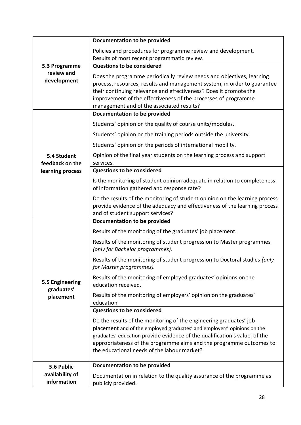| 5.3 Programme<br>review and<br>development | Documentation to be provided                                                                                                                                                                                                                                                                                                                      |
|--------------------------------------------|---------------------------------------------------------------------------------------------------------------------------------------------------------------------------------------------------------------------------------------------------------------------------------------------------------------------------------------------------|
|                                            | Policies and procedures for programme review and development.                                                                                                                                                                                                                                                                                     |
|                                            | Results of most recent programmatic review.                                                                                                                                                                                                                                                                                                       |
|                                            | <b>Questions to be considered</b>                                                                                                                                                                                                                                                                                                                 |
|                                            | Does the programme periodically review needs and objectives, learning                                                                                                                                                                                                                                                                             |
|                                            | process, resources, results and management system, in order to guarantee<br>their continuing relevance and effectiveness? Does it promote the                                                                                                                                                                                                     |
|                                            | improvement of the effectiveness of the processes of programme                                                                                                                                                                                                                                                                                    |
|                                            | management and of the associated results?                                                                                                                                                                                                                                                                                                         |
|                                            | <b>Documentation to be provided</b>                                                                                                                                                                                                                                                                                                               |
|                                            | Students' opinion on the quality of course units/modules.                                                                                                                                                                                                                                                                                         |
|                                            | Students' opinion on the training periods outside the university.                                                                                                                                                                                                                                                                                 |
|                                            | Students' opinion on the periods of international mobility.                                                                                                                                                                                                                                                                                       |
| 5.4 Student<br>feedback on the             | Opinion of the final year students on the learning process and support<br>services.                                                                                                                                                                                                                                                               |
| learning process                           | <b>Questions to be considered</b>                                                                                                                                                                                                                                                                                                                 |
|                                            | Is the monitoring of student opinion adequate in relation to completeness<br>of information gathered and response rate?                                                                                                                                                                                                                           |
|                                            | Do the results of the monitoring of student opinion on the learning process<br>provide evidence of the adequacy and effectiveness of the learning process<br>and of student support services?                                                                                                                                                     |
|                                            | Documentation to be provided                                                                                                                                                                                                                                                                                                                      |
|                                            | Results of the monitoring of the graduates' job placement.                                                                                                                                                                                                                                                                                        |
|                                            | Results of the monitoring of student progression to Master programmes<br>(only for Bachelor programmes).                                                                                                                                                                                                                                          |
|                                            | Results of the monitoring of student progression to Doctoral studies (only<br>for Master programmes).                                                                                                                                                                                                                                             |
| 5.5 Engineering<br>graduates'              | Results of the monitoring of employed graduates' opinions on the<br>education received.                                                                                                                                                                                                                                                           |
| placement                                  | Results of the monitoring of employers' opinion on the graduates'<br>education                                                                                                                                                                                                                                                                    |
|                                            | <b>Questions to be considered</b>                                                                                                                                                                                                                                                                                                                 |
|                                            | Do the results of the monitoring of the engineering graduates' job<br>placement and of the employed graduates' and employers' opinions on the<br>graduates' education provide evidence of the qualification's value, of the<br>appropriateness of the programme aims and the programme outcomes to<br>the educational needs of the labour market? |
|                                            | Documentation to be provided                                                                                                                                                                                                                                                                                                                      |
| 5.6 Public<br>availability of              |                                                                                                                                                                                                                                                                                                                                                   |
| information                                | Documentation in relation to the quality assurance of the programme as<br>publicly provided.                                                                                                                                                                                                                                                      |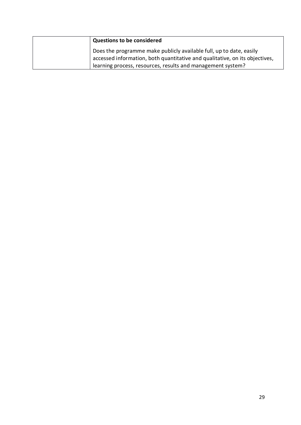| <b>Questions to be considered</b>                                           |
|-----------------------------------------------------------------------------|
| Does the programme make publicly available full, up to date, easily         |
| accessed information, both quantitative and qualitative, on its objectives, |
| learning process, resources, results and management system?                 |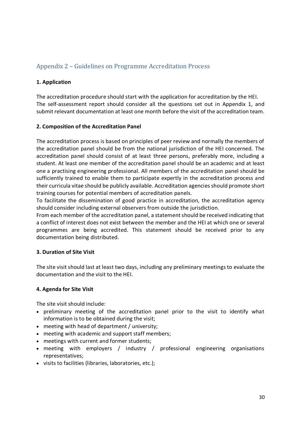## <span id="page-29-0"></span>Appendix 2 – Guidelines on Programme Accreditation Process

#### **1. Application**

The accreditation procedure should start with the application for accreditation by the HEI. The self-assessment report should consider all the questions set out in Appendix 1, and submit relevant documentation at least one month before the visit of the accreditation team.

#### **2. Composition of the Accreditation Panel**

The accreditation process is based on principles of peer review and normally the members of the accreditation panel should be from the national jurisdiction of the HEI concerned. The accreditation panel should consist of at least three persons, preferably more, including a student. At least one member of the accreditation panel should be an academic and at least one a practising engineering professional. All members of the accreditation panel should be sufficiently trained to enable them to participate expertly in the accreditation process and their curricula vitae should be publicly available. Accreditation agenciesshould promote short training courses for potential members of accreditation panels.

To facilitate the dissemination of good practice in accreditation, the accreditation agency should consider including external observers from outside the jurisdiction.

From each member of the accreditation panel, a statement should be received indicating that a conflict of interest does not exist between the member and the HEI at which one or several programmes are being accredited. This statement should be received prior to any documentation being distributed.

#### **3. Duration of Site Visit**

The site visit should last at least two days, including any preliminary meetings to evaluate the documentation and the visit to the HEI.

#### **4. Agenda for Site Visit**

The site visit should include:

- preliminary meeting of the accreditation panel prior to the visit to identify what information is to be obtained during the visit;
- meeting with head of department / university;
- meeting with academic and support staff members;
- meetings with current and former students;
- meeting with employers / industry / professional engineering organisations representatives;
- visits to facilities (libraries, laboratories, etc.);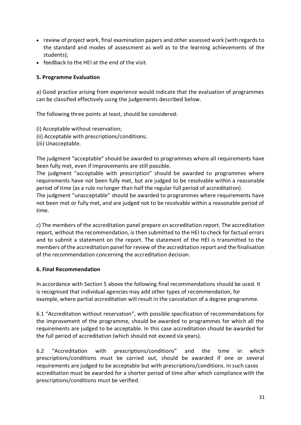- review of project work, final examination papers and other assessed work (with regards to the standard and modes of assessment as well as to the learning achievements of the students);
- feedback to the HEI at the end of the visit.

#### **5. Programme Evaluation**

a) Good practice arising from experience would indicate that the evaluation of programmes can be classified effectively using the judgements described below.

The following three points at least, should be considered:

- (i) Acceptable without reservation;
- (ii) Acceptable with prescriptions/conditions;
- (iii) Unacceptable.

The judgment "acceptable" should be awarded to programmes where all requirements have been fully met, even if improvements are still possible.

The judgment "acceptable with prescription" should be awarded to programmes where requirements have not been fully met, but are judged to be resolvable within a reasonable period of time (as a rule no longer than half the regular full period of accreditation).

The judgment "unacceptable" should be awarded to programmes where requirements have not been met or fully met, and are judged not to be resolvable within a reasonable period of time.

c) The members of the accreditation panel prepare an accreditation report. The accreditation report, without the recommendation, is then submitted to the HEI to check for factual errors and to submit a statement on the report. The statement of the HEI is transmitted to the members of the accreditation panel for review of the accreditation report and the finalisation of the recommendation concerning the accreditation decision.

#### **6. Final Recommendation**

In accordance with Section 5 above the following final recommendations should be used. It is recognised that individual agencies may add other types of recommendation, for example, where partial accreditation will result in the cancelation of a degree programme.

6.1 "Accreditation without reservation", with possible specification of recommendations for the improvement of the programme, should be awarded to programmes for which all the requirements are judged to be acceptable. In this case accreditation should be awarded for the full period of accreditation (which should not exceed six years).

6.2 "Accreditation with prescriptions/conditions" and the time in which prescriptions/conditions must be carried out, should be awarded if one or several requirements are judged to be acceptable but with prescriptions/conditions. In such cases accreditation must be awarded for a shorter period of time after which compliance with the prescriptions/conditions must be verified.